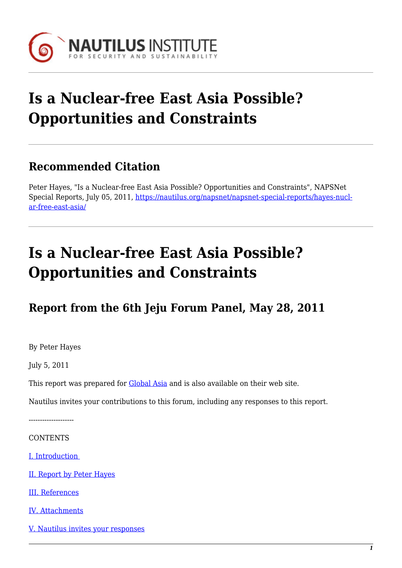

# **Is a Nuclear-free East Asia Possible? Opportunities and Constraints**

### **Recommended Citation**

Peter Hayes, "Is a Nuclear-free East Asia Possible? Opportunities and Constraints", NAPSNet Special Reports, July 05, 2011, [https://nautilus.org/napsnet/napsnet-special-reports/hayes-nucl](https://nautilus.org/napsnet/napsnet-special-reports/hayes-nuclear-free-east-asia/)[ar-free-east-asia/](https://nautilus.org/napsnet/napsnet-special-reports/hayes-nuclear-free-east-asia/)

## **Is a Nuclear-free East Asia Possible? Opportunities and Constraints**

## **Report from the 6th Jeju Forum Panel, May 28, 2011**

By Peter Hayes

July 5, 2011

This report was prepared for **Global Asia** and is also available on their web site.

Nautilus invites your contributions to this forum, including any responses to this report.

--------------------

**CONTENTS** 

[I. Introduction](#page-6-0) 

- [II. Report by Peter Hayes](#page-1-0)
- [III. References](#page-5-0)
- [IV. Attachments](#page-5-1)
- [V. Nautilus invites your responses](#page-5-2)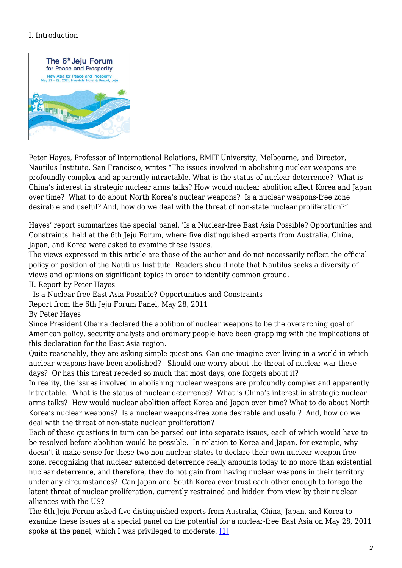### I. Introduction



Peter Hayes, Professor of International Relations, RMIT University, Melbourne, and Director, Nautilus Institute, San Francisco, writes "The issues involved in abolishing nuclear weapons are profoundly complex and apparently intractable. What is the status of nuclear deterrence? What is China's interest in strategic nuclear arms talks? How would nuclear abolition affect Korea and Japan over time? What to do about North Korea's nuclear weapons? Is a nuclear weapons-free zone desirable and useful? And, how do we deal with the threat of non-state nuclear proliferation?"

Hayes' report summarizes the special panel, 'Is a Nuclear-free East Asia Possible? Opportunities and Constraints' held at the 6th Jeju Forum, where five distinguished experts from Australia, China, Japan, and Korea were asked to examine these issues.

The views expressed in this article are those of the author and do not necessarily reflect the official policy or position of the Nautilus Institute. Readers should note that Nautilus seeks a diversity of views and opinions on significant topics in order to identify common ground.

<span id="page-1-0"></span>II. Report by Peter Hayes

- Is a Nuclear-free East Asia Possible? Opportunities and Constraints

Report from the 6th Jeju Forum Panel, May 28, 2011

By Peter Hayes

Since President Obama declared the abolition of nuclear weapons to be the overarching goal of American policy, security analysts and ordinary people have been grappling with the implications of this declaration for the East Asia region.

Quite reasonably, they are asking simple questions. Can one imagine ever living in a world in which nuclear weapons have been abolished? Should one worry about the threat of nuclear war these days? Or has this threat receded so much that most days, one forgets about it?

In reality, the issues involved in abolishing nuclear weapons are profoundly complex and apparently intractable. What is the status of nuclear deterrence? What is China's interest in strategic nuclear arms talks? How would nuclear abolition affect Korea and Japan over time? What to do about North Korea's nuclear weapons? Is a nuclear weapons-free zone desirable and useful? And, how do we deal with the threat of non-state nuclear proliferation?

Each of these questions in turn can be parsed out into separate issues, each of which would have to be resolved before abolition would be possible. In relation to Korea and Japan, for example, why doesn't it make sense for these two non-nuclear states to declare their own nuclear weapon free zone, recognizing that nuclear extended deterrence really amounts today to no more than existential nuclear deterrence, and therefore, they do not gain from having nuclear weapons in their territory under any circumstances? Can Japan and South Korea ever trust each other enough to forego the latent threat of nuclear proliferation, currently restrained and hidden from view by their nuclear alliances with the US?

The 6th Jeju Forum asked five distinguished experts from Australia, China, Japan, and Korea to examine these issues at a special panel on the potential for a nuclear-free East Asia on May 28, 2011 spoke at the panel, which I was privileged to moderate. [\[1\]](#page-5-3)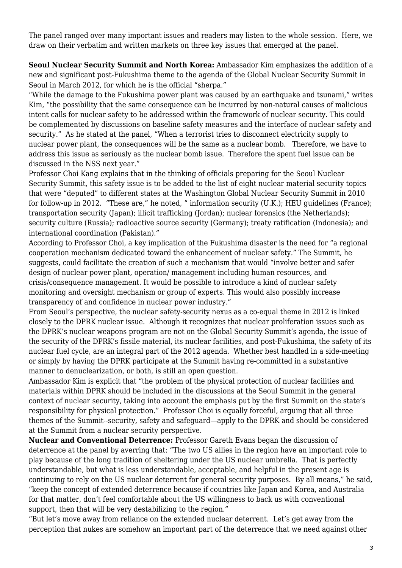The panel ranged over many important issues and readers may listen to the whole session. Here, we draw on their verbatim and written markets on three key issues that emerged at the panel.

**Seoul Nuclear Security Summit and North Korea:** Ambassador Kim emphasizes the addition of a new and significant post-Fukushima theme to the agenda of the Global Nuclear Security Summit in Seoul in March 2012, for which he is the official "sherpa."

"While the damage to the Fukushima power plant was caused by an earthquake and tsunami," writes Kim, "the possibility that the same consequence can be incurred by non-natural causes of malicious intent calls for nuclear safety to be addressed within the framework of nuclear security. This could be complemented by discussions on baseline safety measures and the interface of nuclear safety and security." As he stated at the panel, "When a terrorist tries to disconnect electricity supply to nuclear power plant, the consequences will be the same as a nuclear bomb. Therefore, we have to address this issue as seriously as the nuclear bomb issue. Therefore the spent fuel issue can be discussed in the NSS next year."

Professor Choi Kang explains that in the thinking of officials preparing for the Seoul Nuclear Security Summit, this safety issue is to be added to the list of eight nuclear material security topics that were "deputed" to different states at the Washington Global Nuclear Security Summit in 2010 for follow-up in 2012. "These are," he noted, " information security (U.K.); HEU guidelines (France); transportation security (Japan); illicit trafficking (Jordan); nuclear forensics (the Netherlands); security culture (Russia); radioactive source security (Germany); treaty ratification (Indonesia); and international coordination (Pakistan)."

According to Professor Choi, a key implication of the Fukushima disaster is the need for "a regional cooperation mechanism dedicated toward the enhancement of nuclear safety." The Summit, he suggests, could facilitate the creation of such a mechanism that would "involve better and safer design of nuclear power plant, operation/ management including human resources, and crisis/consequence management. It would be possible to introduce a kind of nuclear safety monitoring and oversight mechanism or group of experts. This would also possibly increase transparency of and confidence in nuclear power industry."

From Seoul's perspective, the nuclear safety-security nexus as a co-equal theme in 2012 is linked closely to the DPRK nuclear issue. Although it recognizes that nuclear proliferation issues such as the DPRK's nuclear weapons program are not on the Global Security Summit's agenda, the issue of the security of the DPRK's fissile material, its nuclear facilities, and post-Fukushima, the safety of its nuclear fuel cycle, are an integral part of the 2012 agenda. Whether best handled in a side-meeting or simply by having the DPRK participate at the Summit having re-committed in a substantive manner to denuclearization, or both, is still an open question.

Ambassador Kim is explicit that "the problem of the physical protection of nuclear facilities and materials within DPRK should be included in the discussions at the Seoul Summit in the general context of nuclear security, taking into account the emphasis put by the first Summit on the state's responsibility for physical protection." Professor Choi is equally forceful, arguing that all three themes of the Summit--security, safety and safeguard—apply to the DPRK and should be considered at the Summit from a nuclear security perspective.

**Nuclear and Conventional Deterrence:** Professor Gareth Evans began the discussion of deterrence at the panel by averring that: "The two US allies in the region have an important role to play because of the long tradition of sheltering under the US nuclear umbrella. That is perfectly understandable, but what is less understandable, acceptable, and helpful in the present age is continuing to rely on the US nuclear deterrent for general security purposes. By all means," he said, "keep the concept of extended deterrence because if countries like Japan and Korea, and Australia for that matter, don't feel comfortable about the US willingness to back us with conventional support, then that will be very destabilizing to the region."

"But let's move away from reliance on the extended nuclear deterrent. Let's get away from the perception that nukes are somehow an important part of the deterrence that we need against other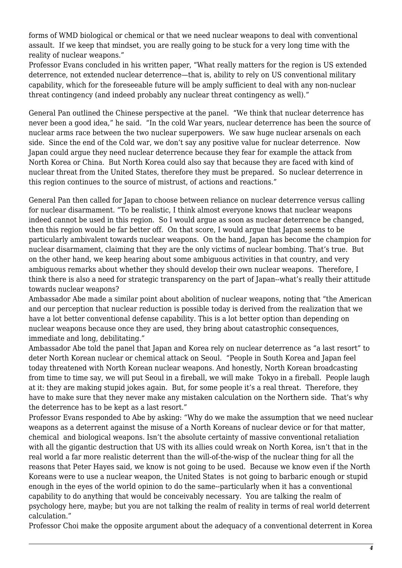forms of WMD biological or chemical or that we need nuclear weapons to deal with conventional assault. If we keep that mindset, you are really going to be stuck for a very long time with the reality of nuclear weapons."

Professor Evans concluded in his written paper, "What really matters for the region is US extended deterrence, not extended nuclear deterrence—that is, ability to rely on US conventional military capability, which for the foreseeable future will be amply sufficient to deal with any non-nuclear threat contingency (and indeed probably any nuclear threat contingency as well)."

General Pan outlined the Chinese perspective at the panel. "We think that nuclear deterrence has never been a good idea," he said. "In the cold War years, nuclear deterrence has been the source of nuclear arms race between the two nuclear superpowers. We saw huge nuclear arsenals on each side. Since the end of the Cold war, we don't say any positive value for nuclear deterrence. Now Japan could argue they need nuclear deterrence because they fear for example the attack from North Korea or China. But North Korea could also say that because they are faced with kind of nuclear threat from the United States, therefore they must be prepared. So nuclear deterrence in this region continues to the source of mistrust, of actions and reactions."

General Pan then called for Japan to choose between reliance on nuclear deterrence versus calling for nuclear disarmament. "To be realistic, I think almost everyone knows that nuclear weapons indeed cannot be used in this region. So I would argue as soon as nuclear deterrence be changed, then this region would be far better off. On that score, I would argue that Japan seems to be particularly ambivalent towards nuclear weapons. On the hand, Japan has become the champion for nuclear disarmament, claiming that they are the only victims of nuclear bombing. That's true. But on the other hand, we keep hearing about some ambiguous activities in that country, and very ambiguous remarks about whether they should develop their own nuclear weapons. Therefore, I think there is also a need for strategic transparency on the part of Japan--what's really their attitude towards nuclear weapons?

Ambassador Abe made a similar point about abolition of nuclear weapons, noting that "the American and our perception that nuclear reduction is possible today is derived from the realization that we have a lot better conventional defense capability. This is a lot better option than depending on nuclear weapons because once they are used, they bring about catastrophic consequences, immediate and long, debilitating."

Ambassador Abe told the panel that Japan and Korea rely on nuclear deterrence as "a last resort" to deter North Korean nuclear or chemical attack on Seoul. "People in South Korea and Japan feel today threatened with North Korean nuclear weapons. And honestly, North Korean broadcasting from time to time say, we will put Seoul in a fireball, we will make Tokyo in a fireball. People laugh at it: they are making stupid jokes again. But, for some people it's a real threat. Therefore, they have to make sure that they never make any mistaken calculation on the Northern side. That's why the deterrence has to be kept as a last resort."

Professor Evans responded to Abe by asking: "Why do we make the assumption that we need nuclear weapons as a deterrent against the misuse of a North Koreans of nuclear device or for that matter, chemical and biological weapons. Isn't the absolute certainty of massive conventional retaliation with all the gigantic destruction that US with its allies could wreak on North Korea, isn't that in the real world a far more realistic deterrent than the will-of-the-wisp of the nuclear thing for all the reasons that Peter Hayes said, we know is not going to be used. Because we know even if the North Koreans were to use a nuclear weapon, the United States is not going to barbaric enough or stupid enough in the eyes of the world opinion to do the same--particularly when it has a conventional capability to do anything that would be conceivably necessary. You are talking the realm of psychology here, maybe; but you are not talking the realm of reality in terms of real world deterrent calculation."

Professor Choi make the opposite argument about the adequacy of a conventional deterrent in Korea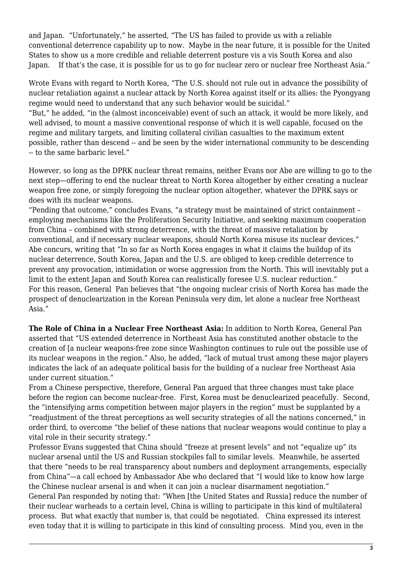and Japan. "Unfortunately," he asserted, "The US has failed to provide us with a reliable conventional deterrence capability up to now. Maybe in the near future, it is possible for the United States to show us a more credible and reliable deterrent posture vis a vis South Korea and also Japan. If that's the case, it is possible for us to go for nuclear zero or nuclear free Northeast Asia."

Wrote Evans with regard to North Korea, "The U.S. should not rule out in advance the possibility of nuclear retaliation against a nuclear attack by North Korea against itself or its allies: the Pyongyang regime would need to understand that any such behavior would be suicidal."

"But," he added, "in the (almost inconceivable) event of such an attack, it would be more likely, and well advised, to mount a massive conventional response of which it is well capable, focused on the regime and military targets, and limiting collateral civilian casualties to the maximum extent possible, rather than descend -- and be seen by the wider international community to be descending -- to the same barbaric level."

However, so long as the DPRK nuclear threat remains, neither Evans nor Abe are willing to go to the next step—offering to end the nuclear threat to North Korea altogether by either creating a nuclear weapon free zone, or simply foregoing the nuclear option altogether, whatever the DPRK says or does with its nuclear weapons.

"Pending that outcome," concludes Evans, "a strategy must be maintained of strict containment – employing mechanisms like the Proliferation Security Initiative, and seeking maximum cooperation from China – combined with strong deterrence, with the threat of massive retaliation by conventional, and if necessary nuclear weapons, should North Korea misuse its nuclear devices." Abe concurs, writing that "In so far as North Korea engages in what it claims the buildup of its nuclear deterrence, South Korea, Japan and the U.S. are obliged to keep credible deterrence to prevent any provocation, intimidation or worse aggression from the North. This will inevitably put a limit to the extent Japan and South Korea can realistically foresee U.S. nuclear reduction." For this reason, General Pan believes that "the ongoing nuclear crisis of North Korea has made the prospect of denuclearization in the Korean Peninsula very dim, let alone a nuclear free Northeast Asia."

**The Role of China in a Nuclear Free Northeast Asia:** In addition to North Korea, General Pan asserted that "US extended deterrence in Northeast Asia has constituted another obstacle to the creation of [a nuclear weapons-free zone since Washington continues to rule out the possible use of its nuclear weapons in the region." Also, he added, "lack of mutual trust among these major players indicates the lack of an adequate political basis for the building of a nuclear free Northeast Asia under current situation."

From a Chinese perspective, therefore, General Pan argued that three changes must take place before the region can become nuclear-free. First, Korea must be denuclearized peacefully. Second, the "intensifying arms competition between major players in the region" must be supplanted by a "readjustment of the threat perceptions as well security strategies of all the nations concerned," in order third, to overcome "the belief of these nations that nuclear weapons would continue to play a vital role in their security strategy."

Professor Evans suggested that China should "freeze at present levels" and not "equalize up" its nuclear arsenal until the US and Russian stockpiles fall to similar levels. Meanwhile, he asserted that there "needs to be real transparency about numbers and deployment arrangements, especially from China"—a call echoed by Ambassador Abe who declared that "I would like to know how large the Chinese nuclear arsenal is and when it can join a nuclear disarmament negotiation." General Pan responded by noting that: "When [the United States and Russia] reduce the number of

their nuclear warheads to a certain level, China is willing to participate in this kind of multilateral process. But what exactly that number is, that could be negotiated. China expressed its interest even today that it is willing to participate in this kind of consulting process. Mind you, even in the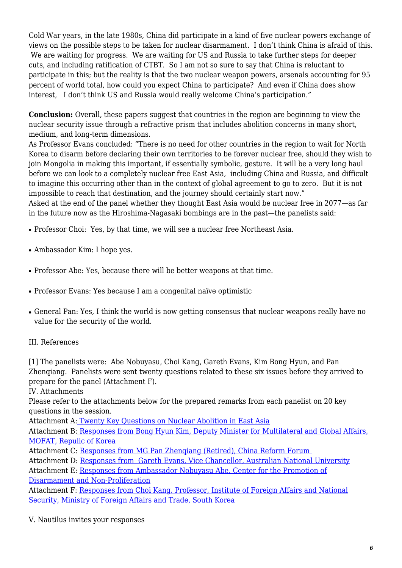Cold War years, in the late 1980s, China did participate in a kind of five nuclear powers exchange of views on the possible steps to be taken for nuclear disarmament. I don't think China is afraid of this. We are waiting for progress. We are waiting for US and Russia to take further steps for deeper cuts, and including ratification of CTBT. So I am not so sure to say that China is reluctant to participate in this; but the reality is that the two nuclear weapon powers, arsenals accounting for 95 percent of world total, how could you expect China to participate? And even if China does show interest, I don't think US and Russia would really welcome China's participation."

**Conclusion:** Overall, these papers suggest that countries in the region are beginning to view the nuclear security issue through a refractive prism that includes abolition concerns in many short, medium, and long-term dimensions.

As Professor Evans concluded: "There is no need for other countries in the region to wait for North Korea to disarm before declaring their own territories to be forever nuclear free, should they wish to join Mongolia in making this important, if essentially symbolic, gesture. It will be a very long haul before we can look to a completely nuclear free East Asia, including China and Russia, and difficult to imagine this occurring other than in the context of global agreement to go to zero. But it is not impossible to reach that destination, and the journey should certainly start now."

Asked at the end of the panel whether they thought East Asia would be nuclear free in 2077—as far in the future now as the Hiroshima-Nagasaki bombings are in the past—the panelists said:

- Professor Choi: Yes, by that time, we will see a nuclear free Northeast Asia.
- Ambassador Kim: I hope yes.
- Professor Abe: Yes, because there will be better weapons at that time.
- Professor Evans: Yes because I am a congenital naïve optimistic
- General Pan: Yes, I think the world is now getting consensus that nuclear weapons really have no value for the security of the world.

#### <span id="page-5-3"></span><span id="page-5-0"></span>III. References

[1] The panelists were: Abe Nobuyasu, Choi Kang, Gareth Evans, Kim Bong Hyun, and Pan Zhenqiang. Panelists were sent twenty questions related to these six issues before they arrived to prepare for the panel (Attachment F).

<span id="page-5-1"></span>IV. Attachments

Please refer to the attachments below for the prepared remarks from each panelist on 20 key questions in the session.

Attachment A: [Twenty Key Questions on Nuclear Abolition in East Asia](https://nautilus.org/publications/essays/napsnet/reports/attachment-a-twenty-key-questions-on-nuclear-abolition-in-east-asia/)

Attachment B: [Responses from Bong Hyun Kim, Deputy Minister for Multilateral and Global Affairs,](https://nautilus.org/publications/essays/napsnet/reports/attachment-b-responses-from-bong-hyun-kim/) [MOFAT, Repulic of Korea](https://nautilus.org/publications/essays/napsnet/reports/attachment-b-responses-from-bong-hyun-kim/)

Attachment C: [Responses from MG Pan Zhenqiang \(Retired\), China Reform Forum](https://nautilus.org/publications/essays/napsnet/reports/attachment-c-responses-from-mg-pan-zhenqiang/) 

Attachment D: [Responses from Gareth Evans, Vice Chancellor, Australian National University](https://nautilus.org/publications/essays/napsnet/reports/attachment-d-responses-from-gareth-evans)

Attachment E: [Responses from Ambassador Nobuyasu Abe, Center for the Promotion of](https://nautilus.org/publications/essays/napsnet/reports/attachment-e-responses-from-ambassador-nobuyasu-abe/) [Disarmament and Non-Proliferation](https://nautilus.org/publications/essays/napsnet/reports/attachment-e-responses-from-ambassador-nobuyasu-abe/)

Attachment F: [Responses from Choi Kang, Professor, Institute of Foreign Affairs and National](https://nautilus.org/publications/essays/napsnet/reports/attachment-f-responses-from-choi-kang/) [Security, Ministry of Foreign Affairs and Trade, South Korea](https://nautilus.org/publications/essays/napsnet/reports/attachment-f-responses-from-choi-kang/)

<span id="page-5-2"></span>V. Nautilus invites your responses